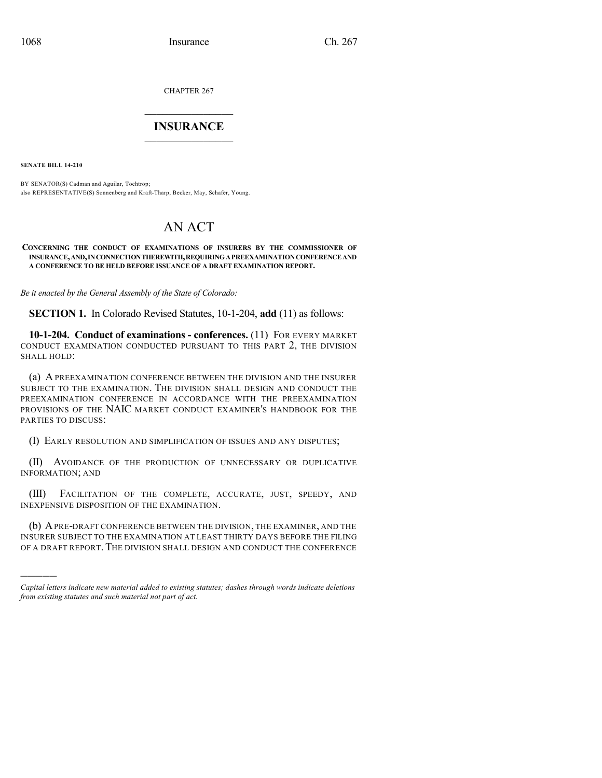CHAPTER 267

## $\mathcal{L}_\text{max}$  . The set of the set of the set of the set of the set of the set of the set of the set of the set of the set of the set of the set of the set of the set of the set of the set of the set of the set of the set **INSURANCE**  $\frac{1}{2}$  ,  $\frac{1}{2}$  ,  $\frac{1}{2}$  ,  $\frac{1}{2}$  ,  $\frac{1}{2}$  ,  $\frac{1}{2}$  ,  $\frac{1}{2}$

**SENATE BILL 14-210**

)))))

BY SENATOR(S) Cadman and Aguilar, Tochtrop; also REPRESENTATIVE(S) Sonnenberg and Kraft-Tharp, Becker, May, Schafer, Young.

## AN ACT

## **CONCERNING THE CONDUCT OF EXAMINATIONS OF INSURERS BY THE COMMISSIONER OF INSURANCE,AND,INCONNECTIONTHEREWITH,REQUIRINGAPREEXAMINATIONCONFERENCEAND A CONFERENCE TO BE HELD BEFORE ISSUANCE OF A DRAFT EXAMINATION REPORT.**

*Be it enacted by the General Assembly of the State of Colorado:*

**SECTION 1.** In Colorado Revised Statutes, 10-1-204, **add** (11) as follows:

**10-1-204. Conduct of examinations - conferences.** (11) FOR EVERY MARKET CONDUCT EXAMINATION CONDUCTED PURSUANT TO THIS PART 2, THE DIVISION SHALL HOLD:

(a) A PREEXAMINATION CONFERENCE BETWEEN THE DIVISION AND THE INSURER SUBJECT TO THE EXAMINATION. THE DIVISION SHALL DESIGN AND CONDUCT THE PREEXAMINATION CONFERENCE IN ACCORDANCE WITH THE PREEXAMINATION PROVISIONS OF THE NAIC MARKET CONDUCT EXAMINER'S HANDBOOK FOR THE PARTIES TO DISCUSS:

(I) EARLY RESOLUTION AND SIMPLIFICATION OF ISSUES AND ANY DISPUTES;

(II) AVOIDANCE OF THE PRODUCTION OF UNNECESSARY OR DUPLICATIVE INFORMATION; AND

(III) FACILITATION OF THE COMPLETE, ACCURATE, JUST, SPEEDY, AND INEXPENSIVE DISPOSITION OF THE EXAMINATION.

(b) APRE-DRAFT CONFERENCE BETWEEN THE DIVISION, THE EXAMINER, AND THE INSURER SUBJECT TO THE EXAMINATION AT LEAST THIRTY DAYS BEFORE THE FILING OF A DRAFT REPORT. THE DIVISION SHALL DESIGN AND CONDUCT THE CONFERENCE

*Capital letters indicate new material added to existing statutes; dashes through words indicate deletions from existing statutes and such material not part of act.*